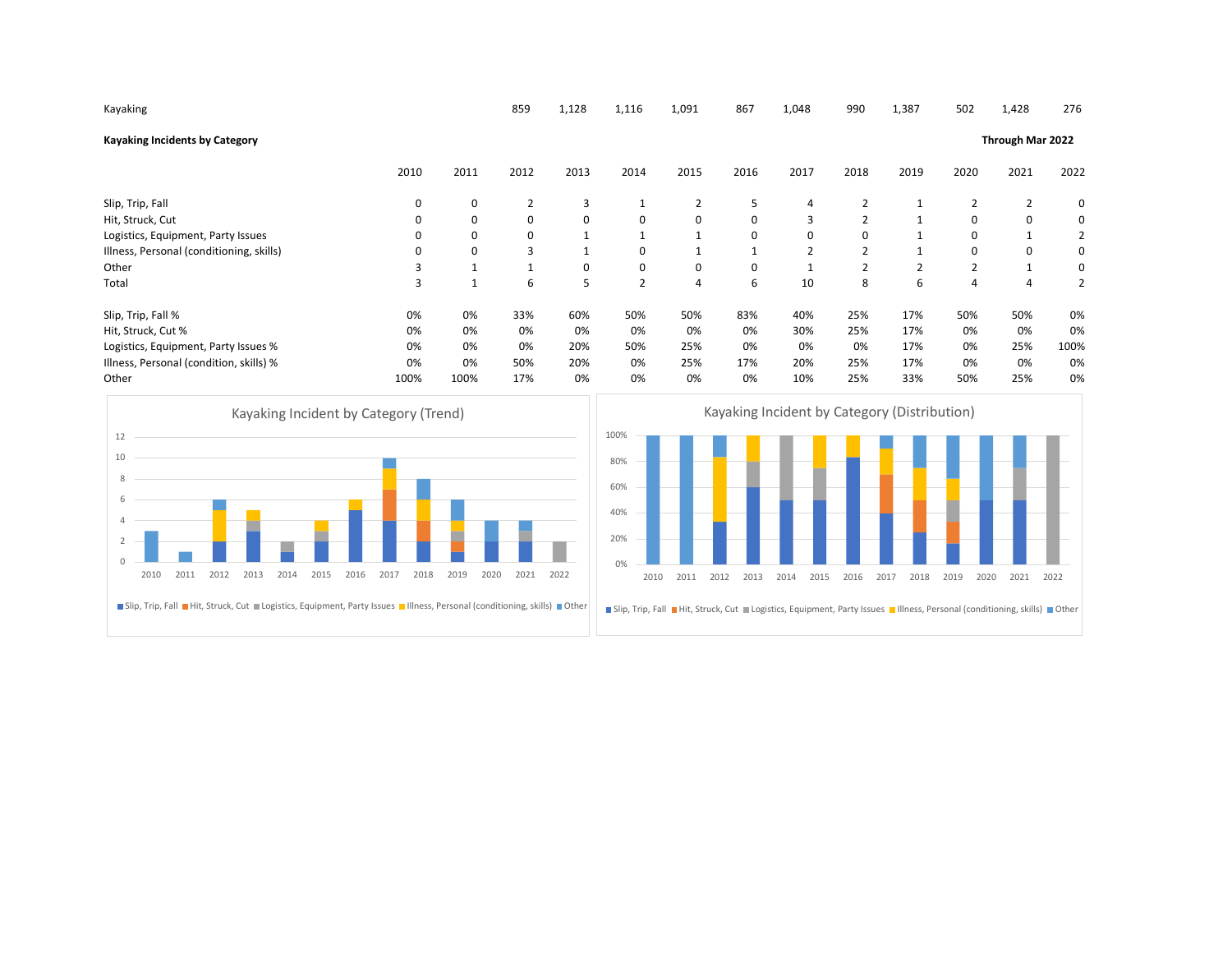| Kayaking                                                                                                            |                      |              | 859            | 1,128       | 1,116                                                | 1,091        | 867                                                                                                                           | 1,048        | 990            | 1,387            | 502            | 1,428          | 276            |  |
|---------------------------------------------------------------------------------------------------------------------|----------------------|--------------|----------------|-------------|------------------------------------------------------|--------------|-------------------------------------------------------------------------------------------------------------------------------|--------------|----------------|------------------|----------------|----------------|----------------|--|
| <b>Kayaking Incidents by Category</b>                                                                               |                      |              |                |             |                                                      |              |                                                                                                                               |              |                | Through Mar 2022 |                |                |                |  |
|                                                                                                                     | 2010                 | 2011         | 2012           | 2013        | 2014                                                 | 2015         | 2016                                                                                                                          | 2017         | 2018           | 2019             | 2020           | 2021           | 2022           |  |
| Slip, Trip, Fall                                                                                                    | 0                    | 0            | $\overline{2}$ | 3           | $\mathbf{1}$                                         | 2            | 5                                                                                                                             | 4            | 2              | 1                | $\overline{2}$ | $\overline{2}$ | 0              |  |
| Hit, Struck, Cut                                                                                                    | 0                    | 0            | 0              | $\mathbf 0$ | $\mathbf 0$                                          | 0            | 0                                                                                                                             | 3            | $\overline{2}$ | $\mathbf{1}$     | 0              | 0              | 0              |  |
| Logistics, Equipment, Party Issues                                                                                  | $\Omega$             | 0            | 0              | 1           | 1                                                    | $\mathbf{1}$ | 0                                                                                                                             | $\mathbf 0$  | 0              | 1                | 0              | $\mathbf{1}$   | 2              |  |
| Illness, Personal (conditioning, skills)                                                                            | $\Omega$             | 0            | 3              | 1           | $\mathbf 0$                                          | $\mathbf{1}$ | $\mathbf{1}$                                                                                                                  | 2            | $\overline{2}$ | $\mathbf{1}$     | 0              | 0              | 0              |  |
| Other                                                                                                               | 3                    | $\mathbf{1}$ | 1              | 0           | $\pmb{0}$                                            | 0            | 0                                                                                                                             | $\mathbf{1}$ | $\overline{2}$ | $\mathbf 2$      | $\overline{2}$ | $\mathbf{1}$   | 0              |  |
| Total                                                                                                               | $\overline{3}$       | $\mathbf{1}$ | 6              | 5           | $\overline{2}$                                       | 4            | 6                                                                                                                             | 10           | 8              | 6                | $\overline{4}$ | $\overline{4}$ | $\overline{2}$ |  |
| Slip, Trip, Fall %                                                                                                  | 0%                   | 0%           | 33%            | 60%         | 50%                                                  | 50%          | 83%                                                                                                                           | 40%          | 25%            | 17%              | 50%            | 50%            | 0%             |  |
| Hit, Struck, Cut %                                                                                                  | 0%                   | 0%           | 0%             | 0%          | 0%                                                   | 0%           | 0%                                                                                                                            | 30%          | 25%            | 17%              | 0%             | 0%             | 0%             |  |
| Logistics, Equipment, Party Issues %                                                                                | 0%                   | 0%           | 0%             | 20%         | 50%                                                  | 25%          | 0%                                                                                                                            | 0%           | 0%             | 17%              | 0%             | 25%            | 100%           |  |
| Illness, Personal (condition, skills) %                                                                             | 0%                   | 0%           | 50%            | 20%         | 0%                                                   | 25%          | 17%                                                                                                                           | 20%          | 25%            | 17%              | 0%             | 0%             | 0%             |  |
| Other                                                                                                               | 100%                 | 100%         | 17%            | 0%          | 0%                                                   | 0%           | 0%                                                                                                                            | 10%          | 25%            | 33%              | 50%            | 25%            | 0%             |  |
| Kayaking Incident by Category (Trend)<br>12                                                                         |                      |              |                |             | Kayaking Incident by Category (Distribution)<br>100% |              |                                                                                                                               |              |                |                  |                |                |                |  |
| 10                                                                                                                  |                      |              |                |             | 80%                                                  |              |                                                                                                                               |              |                |                  |                |                |                |  |
| 8                                                                                                                   |                      |              |                |             | 60%                                                  |              |                                                                                                                               |              |                |                  |                |                |                |  |
|                                                                                                                     |                      |              |                |             | 40%                                                  |              |                                                                                                                               |              |                |                  |                |                |                |  |
|                                                                                                                     |                      |              |                |             | 20%                                                  |              |                                                                                                                               |              |                |                  |                |                |                |  |
|                                                                                                                     |                      |              |                |             | 0%                                                   |              |                                                                                                                               |              |                |                  |                |                |                |  |
| 2011<br>2012<br>2013<br>2014<br>2015<br>2010                                                                        | 2016<br>2017<br>2018 | 2019         | 2020<br>2021   | 2022        | 2010                                                 | 2011         | 2012<br>2013                                                                                                                  | 2015<br>2014 | 2016           | 2017<br>2018     | 2019           | 2020<br>2021   | 2022           |  |
| Slip, Trip, Fall Hit, Struck, Cut Logistics, Equipment, Party Issues Hilness, Personal (conditioning, skills) Other |                      |              |                |             |                                                      |              | ■ Slip, Trip, Fall ■ Hit, Struck, Cut ■ Logistics, Equipment, Party Issues ■ Illness, Personal (conditioning, skills) ■ Other |              |                |                  |                |                |                |  |
|                                                                                                                     |                      |              |                |             |                                                      |              |                                                                                                                               |              |                |                  |                |                |                |  |
|                                                                                                                     |                      |              |                |             |                                                      |              |                                                                                                                               |              |                |                  |                |                |                |  |
|                                                                                                                     |                      |              |                |             |                                                      |              |                                                                                                                               |              |                |                  |                |                |                |  |



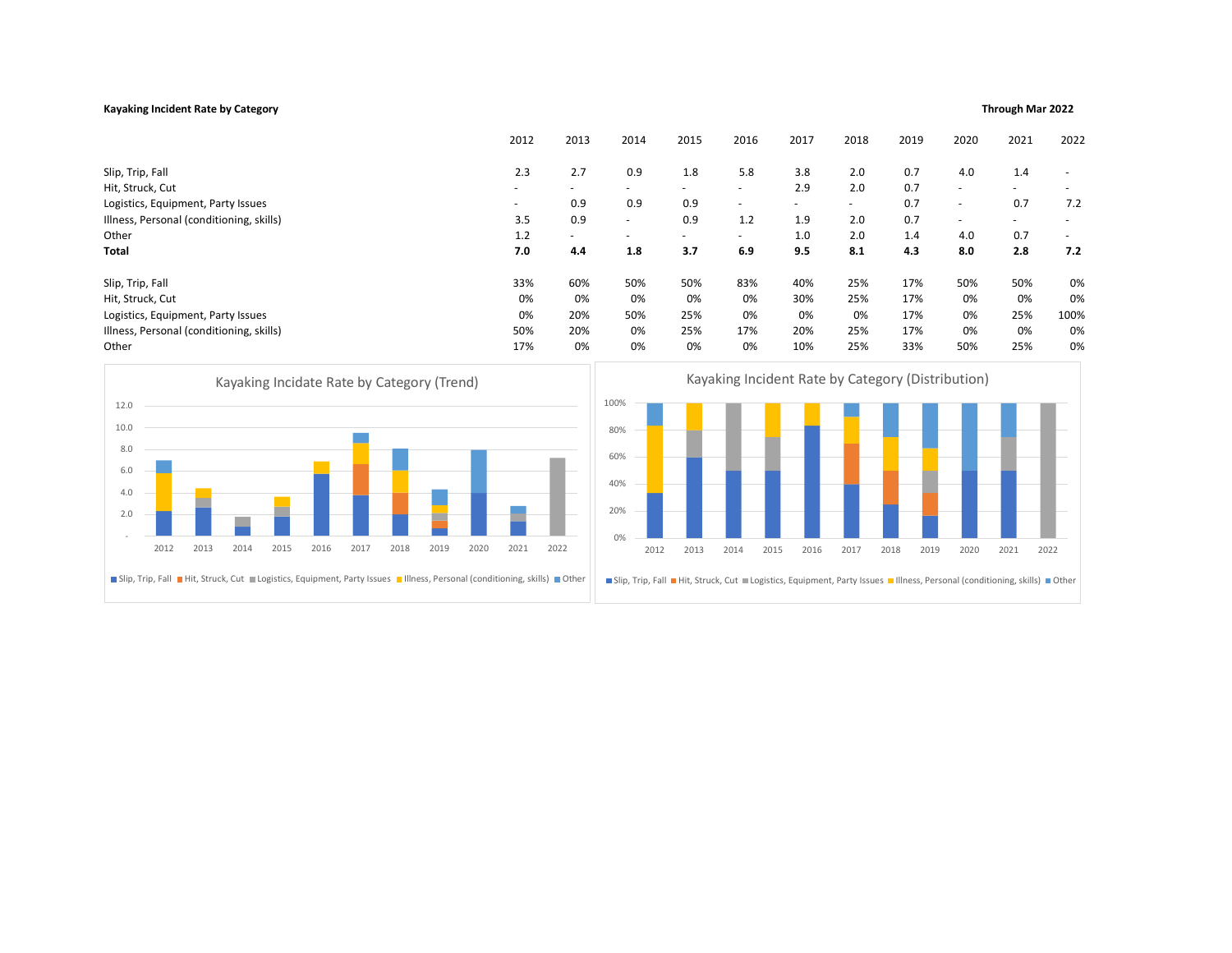## Kayaking Incident Rate by Category **Through Mar 2022** Through Mar 2022 of the United States of the United States of the Mar 2022 of the Mar 2022 of the Mar 2022 of the Mar 2022 of the Mar 2022 of the Mar 2022 of the Mar 20

| Through Mar 2022 |  |  |
|------------------|--|--|
|------------------|--|--|

|                                          |      |      |      |      |      |      |      |        |                          | 2012           | 2013                                                                                                                          | 2014                     |      | 2015                                                                                                                | 2016   |      | 2017 | 2018   |                          | 2019 | 2020                     | 2021 | 2022 |
|------------------------------------------|------|------|------|------|------|------|------|--------|--------------------------|----------------|-------------------------------------------------------------------------------------------------------------------------------|--------------------------|------|---------------------------------------------------------------------------------------------------------------------|--------|------|------|--------|--------------------------|------|--------------------------|------|------|
| Slip, Trip, Fall                         |      |      |      |      |      |      |      |        |                          | 2.3            | 2.7                                                                                                                           | 0.9                      |      | 1.8                                                                                                                 | 5.8    |      | 3.8  | 2.0    |                          | 0.7  | 4.0                      | 1.4  |      |
| Hit, Struck, Cut                         |      |      |      |      |      |      |      |        | $\overline{\phantom{0}}$ | $\blacksquare$ |                                                                                                                               |                          | ÷.   |                                                                                                                     | 2.9    | 2.0  |      | 0.7    | $\overline{\phantom{a}}$ |      |                          |      |      |
| Logistics, Equipment, Party Issues       |      |      |      |      |      |      |      | 0.9    | 0.9                      |                | 0.9                                                                                                                           | ٠                        |      | $\equiv$                                                                                                            | $\sim$ |      | 0.7  | $\sim$ | 0.7                      | 7.2  |                          |      |      |
| Illness, Personal (conditioning, skills) |      |      |      |      |      |      |      |        |                          | 3.5            | 0.9                                                                                                                           | $\overline{\phantom{a}}$ |      | 0.9                                                                                                                 | 1.2    |      | 1.9  | 2.0    |                          | 0.7  | $\overline{\phantom{a}}$ |      |      |
| Other                                    |      |      |      |      |      |      | 1.2  | $\sim$ | $\blacksquare$           |                | ٠                                                                                                                             | $\overline{\phantom{0}}$ |      | 1.0                                                                                                                 | 2.0    |      | 1.4  | 4.0    | 0.7                      | ٠    |                          |      |      |
| <b>Total</b>                             |      |      |      |      |      | 7.0  | 4.4  | 1.8    |                          | 3.7            | 6.9                                                                                                                           |                          | 9.5  | 8.1                                                                                                                 |        | 4.3  | 8.0  | 2.8    | 7.2                      |      |                          |      |      |
| Slip, Trip, Fall                         |      |      |      |      |      |      |      |        |                          | 33%            | 60%                                                                                                                           |                          | 50%  | 50%                                                                                                                 | 83%    |      | 40%  | 25%    |                          | 17%  | 50%                      | 50%  | 0%   |
| Hit, Struck, Cut                         |      |      |      |      |      |      |      |        |                          | 0%             | 0%                                                                                                                            |                          | 0%   | 0%                                                                                                                  | 0%     |      | 30%  | 25%    |                          | 17%  | 0%                       | 0%   | 0%   |
| Logistics, Equipment, Party Issues       |      |      |      |      |      |      |      |        |                          | 0%             | 20%                                                                                                                           |                          | 50%  | 25%                                                                                                                 | 0%     |      | 0%   | 0%     |                          | 17%  | 0%                       | 25%  | 100% |
| Illness, Personal (conditioning, skills) |      |      |      |      |      |      |      |        |                          | 50%            | 20%                                                                                                                           |                          | 0%   | 25%                                                                                                                 | 17%    |      | 20%  | 25%    |                          | 17%  | 0%                       | 0%   | 0%   |
| Other                                    |      |      |      |      |      |      |      |        |                          | 17%            | 0%                                                                                                                            |                          | 0%   | 0%                                                                                                                  | 0%     |      | 10%  | 25%    |                          | 33%  | 50%                      | 25%  | 0%   |
| 10.0<br>8.0<br>6.0<br>4.0<br>2.0         |      |      |      |      |      |      |      |        |                          |                |                                                                                                                               | 80%<br>60%<br>40%<br>20% |      |                                                                                                                     |        |      |      |        |                          |      |                          |      |      |
|                                          | 2012 | 2013 | 2014 | 2015 | 2016 | 2017 | 2018 | 2019   | 2020                     | 2021           | 2022                                                                                                                          | 0%                       | 2012 | 2013                                                                                                                | 2014   | 2015 | 2016 | 2017   | 2018                     | 2019 | 2020                     | 2021 | 2022 |
|                                          |      |      |      |      |      |      |      |        |                          |                | ■ Slip, Trip, Fall ■ Hit, Struck, Cut ■ Logistics, Equipment, Party Issues ■ Illness, Personal (conditioning, skills) ■ Other |                          |      | Slip, Trip, Fall Hit, Struck, Cut Logistics, Equipment, Party Issues IIIness, Personal (conditioning, skills) Other |        |      |      |        |                          |      |                          |      |      |



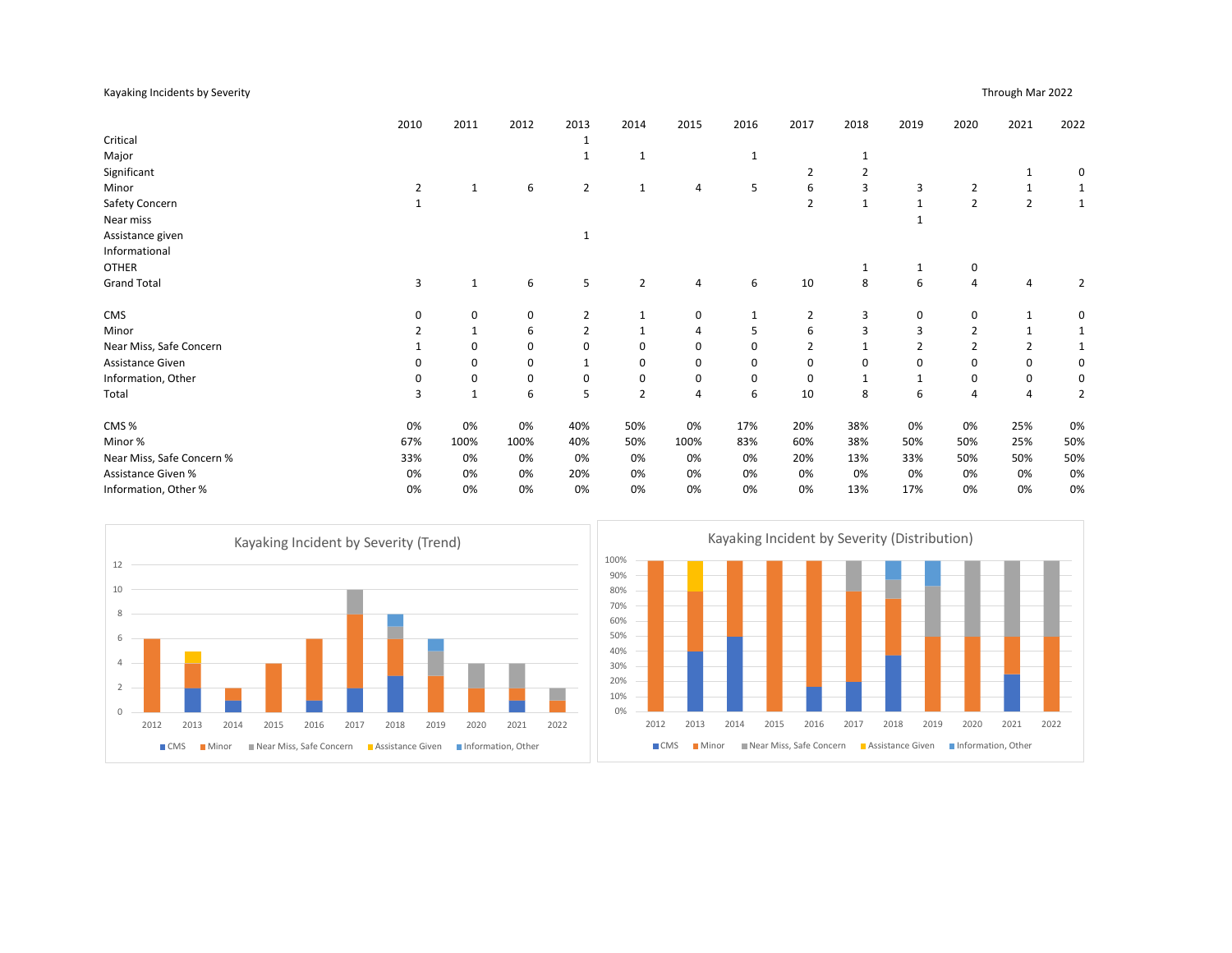## Kayaking Incidents by Severity Through Mar 2022